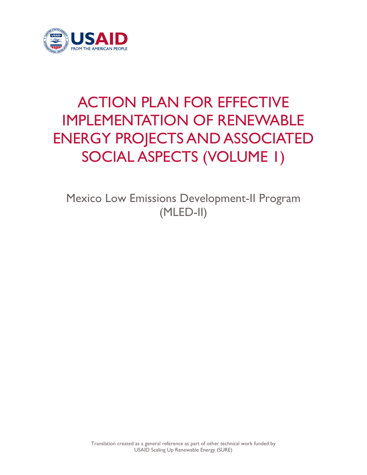

# ACTION PLAN FOR EFFECTIVE IMPLEMENTATION OF RENEWABLE ENERGY PROJECTS AND ASSOCIATED SOCIAL ASPECTS (VOLUME 1)

Mexico Low Emissions Development-II Program (MLED-II)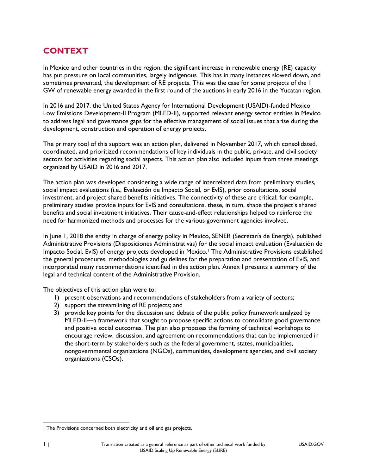# **CONTEXT**

In Mexico and other countries in the region, the significant increase in renewable energy (RE) capacity has put pressure on local communities, largely indigenous. This has in many instances slowed down, and sometimes prevented, the development of RE projects. This was the case for some projects of the 1 GW of renewable energy awarded in the first round of the auctions in early 2016 in the Yucatan region.

In 2016 and 2017, the United States Agency for International Development (USAID)-funded Mexico Low Emissions Development-II Program (MLED-II), supported relevant energy sector entities in Mexico to address legal and governance gaps for the effective management of social issues that arise during the development, construction and operation of energy projects.

The primary tool of this support was an action plan, delivered in November 2017, which consolidated, coordinated, and prioritized recommendations of key individuals in the public, private, and civil society sectors for activities regarding social aspects. This action plan also included inputs from three meetings organized by USAID in 2016 and 2017.

The action plan was developed considering a wide range of interrelated data from preliminary studies, social impact evaluations (i.e., Evaluación de Impacto Social, or EvIS), prior consultations, social investment, and project shared benefits initiatives. The connectivity of these are critical; for example, preliminary studies provide inputs for EvIS and consultations. these, in turn, shape the project's shared benefits and social investment initiatives. Their cause-and-effect relationships helped to reinforce the need for harmonized methods and processes for the various government agencies involved.

In June 1, 2018 the entity in charge of energy policy in Mexico, SENER (Secretaría de Energía), published Administrative Provisions (Disposiciones Administrativas) for the social impact evaluation (Evaluación de Impacto Social, EvIS) of energy projects developed in Mexico.<sup>1</sup> The Administrative Provisions established the general procedures, methodologies and guidelines for the preparation and presentation of EvIS, and incorporated many recommendations identified in this action plan. Annex I presents a summary of the legal and technical content of the Administrative Provision.

The objectives of this action plan were to:

- 1) present observations and recommendations of stakeholders from a variety of sectors;
- 2) support the streamlining of RE projects; and
- 3) provide key points for the discussion and debate of the public policy framework analyzed by MLED-II—a framework that sought to propose specific actions to consolidate good governance and positive social outcomes. The plan also proposes the forming of technical workshops to encourage review, discussion, and agreement on recommendations that can be implemented in the short-term by stakeholders such as the federal government, states, municipalities, nongovernmental organizations (NGOs), communities, development agencies, and civil society organizations (CSOs).

 $\overline{\phantom{a}}$ <sup>1</sup> The Provisions concerned both electricity and oil and gas projects.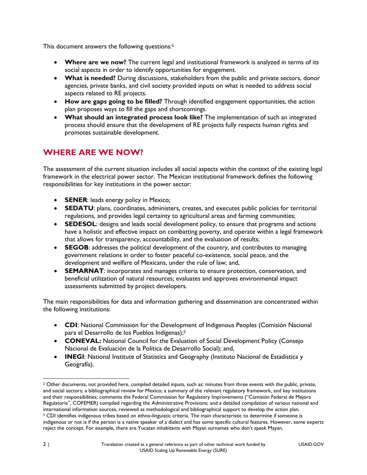This document answers the following questions:<sup>2</sup>

- **Where are we now?** The current legal and institutional framework is analyzed in terms of its social aspects in order to identify opportunities for engagement.
- **What is needed?** During discussions, stakeholders from the public and private sectors, donor agencies, private banks, and civil society provided inputs on what is needed to address social aspects related to RE projects.
- **How are gaps going to be filled?** Through identified engagement opportunities, the action plan proposes ways to fill the gaps and shortcomings.
- **What should an integrated process look like?** The implementation of such an integrated process should ensure that the development of RE projects fully respects human rights and promotes sustainable development.

# **WHERE ARE WE NOW?**

The assessment of the current situation includes all social aspects within the context of the existing legal framework in the electrical power sector. The Mexican institutional framework defines the following responsibilities for key institutions in the power sector:

- **SENER:** leads energy policy in Mexico;
- **SEDATU**: plans, coordinates, administers, creates, and executes public policies for territorial regulations, and provides legal certainty to agricultural areas and farming communities;
- **SEDESOL:** designs and leads social development policy, to ensure that programs and actions have a holistic and effective impact on combatting poverty, and operate within a legal framework that allows for transparency, accountability, and the evaluation of results;
- **SEGOB:** addresses the political development of the country, and contributes to managing government relations in order to foster peaceful co-existence, social peace, and the development and welfare of Mexicans, under the rule of law; and,
- **SEMARNAT**: incorporates and manages criteria to ensure protection, conservation, and beneficial utilization of natural resources; evaluates and approves environmental impact assessments submitted by project developers.

The main responsibilities for data and information gathering and dissemination are concentrated within the following institutions:

- **CDI:** National Commission for the Development of Indigenous Peoples (Comisión Nacional para el Desarrollo de los Pueblos Indígenas); 3
- **CONEVAL:** National Council for the Evaluation of Social Development Policy (Consejo Nacional de Evaluación de la Política de Desarrollo Social); and,
- **INEGI:** National Institute of Statistics and Geography (Instituto Nacional de Estadística y Geografía).

 $\overline{\phantom{a}}$ <sup>2</sup> Other documents, not provided here, compiled detailed inputs, such as: minutes from three events with the public, private, and social sectors; a bibliographical review for Mexico; a summary of the relevant regulatory framework, and key institutions and their responsibilities; comments the Federal Commission for Regulatory Improvements ("Comisión Federal de Mejora Regulatoria", COFEMER) compiled regarding the Administrative Provisions; and a detailed compilation of various national and international information sources, reviewed as methodological and bibliographical support to develop the action plan. <sup>3</sup> CDI identifies indigenous tribes based on ethno-linguistic criteria. The main characteristic to determine if someone is indigenous or not is if the person is a native speaker of a dialect and has some specific cultural features. However, some experts reject the concept. For example, there are Yucatan inhabitants with Mayan surnames who don't speak Mayan.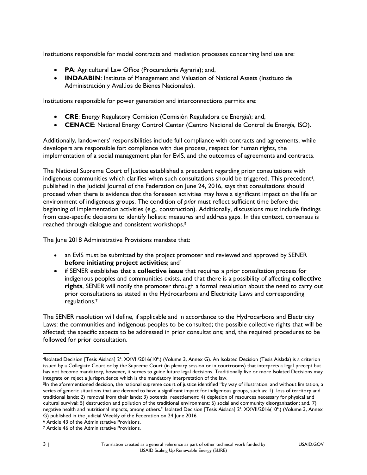Institutions responsible for model contracts and mediation processes concerning land use are:

- **PA**: Agricultural Law Office (Procuraduría Agraria); and,
- **INDAABIN**: Institute of Management and Valuation of National Assets (Instituto de Administración y Avalúos de Bienes Nacionales).

Institutions responsible for power generation and interconnections permits are:

- **CRE**: Energy Regulatory Comision (Comisión Reguladora de Energia); and,
- **CENACE**: National Energy Control Center (Centro Nacional de Control de Energía, ISO).

Additionally, landowners' responsibilities include full compliance with contracts and agreements, while developers are responsible for: compliance with due process, respect for human rights, the implementation of a social management plan for EvIS, and the outcomes of agreements and contracts.

The National Supreme Court of Justice established a precedent regarding prior consultations with indigenous communities which clarifies when such consultations should be triggered. This precedent<sup>4</sup>, published in the Judicial Journal of the Federation on June 24, 2016, says that consultations should proceed when there is evidence that the foreseen activities may have a significant impact on the life or environment of indigenous groups. The condition of *prior* must reflect sufficient time before the beginning of implementation activities (e.g., construction). Additionally, discussions must include findings from case-specific decisions to identify holistic measures and address gaps. In this context, consensus is reached through dialogue and consistent workshops.<sup>5</sup>

The June 2018 Administrative Provisions mandate that:

- an EvIS must be submitted by the project promoter and reviewed and approved by SENER **before initiating project activities**; and <sup>6</sup>
- if SENER establishes that a **collective issue** that requires a prior consultation process for indigenous peoples and communities exists, and that there is a possibility of affecting **collective rights**, SENER will notify the promoter through a formal resolution about the need to carry out prior consultations as stated in the Hydrocarbons and Electricity Laws and corresponding regulations.<sup>7</sup>

The SENER resolution will define, if applicable and in accordance to the Hydrocarbons and Electricity Laws: the communities and indigenous peoples to be consulted; the possible collective rights that will be affected; the specific aspects to be addressed in prior consultations; and, the required procedures to be followed for prior consultation.

 $\overline{a}$ <sup>4</sup>Isolated Decision [Tesis Aislada] 2ª. XXVII/2016(10ª.) (Volume 3, Annex G). An Isolated Decision (Tesis Aislada) is a criterion issued by a Collegiate Court or by the Supreme Court (in plenary session or in courtrooms) that interprets a legal precept but has not become mandatory, however, it serves to guide future legal decisions. Traditionally five or more Isolated Decisions may integrate or reject a Jurisprudence which is the mandatory interpretation of the law.

<sup>5</sup>In the aforementioned decision, the national supreme court of justice identified "by way of illustration, and without limitation, a series of generic situations that are deemed to have a significant impact for indigenous groups, such as: 1) loss of territory and traditional lands; 2) removal from their lands; 3) potential resettlement; 4) depletion of resources necessary for physical and cultural survival; 5) destruction and pollution of the traditional environment; 6) social and community disorganization; and, 7) negative health and nutritional impacts, among others." Isolated Decision [Tesis Aislada] 2ª. XXVII/2016(10ª.) (Volume 3, Annex G) published in the Judicial Weekly of the Federation on 24 June 2016.

<sup>6</sup> Article 43 of the Administrative Provisions.

<sup>7</sup> Article 46 of the Administrative Provisions.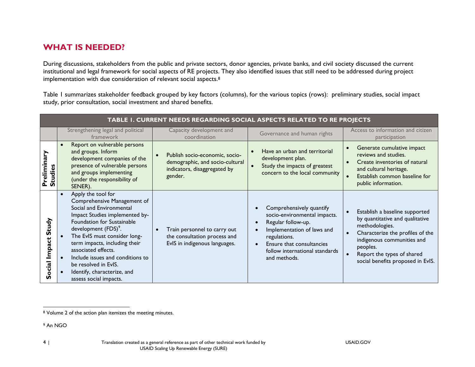### **WHAT IS NEEDED?**

During discussions, stakeholders from the public and private sectors, donor agencies, private banks, and civil society discussed the current institutional and legal framework for social aspects of RE projects. They also identified issues that still need to be addressed during project implementation with due consideration of relevant social aspects.<sup>8</sup>

Table 1 summarizes stakeholder feedback grouped by key factors (columns), for the various topics (rows): preliminary studies, social impact study, prior consultation, social investment and shared benefits.

| TABLE I. CURRENT NEEDS REGARDING SOCIAL ASPECTS RELATED TO RE PROJECTS |                                                                                                                                                                                                                                                                                                                                                                                                |                                                                                                              |                                                                                                                                                                                                             |                                                                                                                                                                                                                                      |
|------------------------------------------------------------------------|------------------------------------------------------------------------------------------------------------------------------------------------------------------------------------------------------------------------------------------------------------------------------------------------------------------------------------------------------------------------------------------------|--------------------------------------------------------------------------------------------------------------|-------------------------------------------------------------------------------------------------------------------------------------------------------------------------------------------------------------|--------------------------------------------------------------------------------------------------------------------------------------------------------------------------------------------------------------------------------------|
|                                                                        | Strengthening legal and political<br>framework                                                                                                                                                                                                                                                                                                                                                 | Capacity development and<br>coordination                                                                     | Governance and human rights                                                                                                                                                                                 | Access to information and citizen<br>participation                                                                                                                                                                                   |
| eliminary<br><b>Studies</b><br>௳                                       | Report on vulnerable persons<br>$\bullet$<br>and groups. Inform<br>development companies of the<br>presence of vulnerable persons<br>and groups implementing<br>(under the responsibility of<br>SENER).                                                                                                                                                                                        | Publish socio-economic, socio-<br>demographic, and socio-cultural<br>indicators, disaggregated by<br>gender. | Have an urban and territorial<br>development plan.<br>Study the impacts of greatest<br>concern to the local community                                                                                       | Generate cumulative impact<br>reviews and studies.<br>Create inventories of natural<br>and cultural heritage.<br>Establish common baseline for<br>public information.                                                                |
| Study<br>Impact<br>Social                                              | Apply the tool for<br>Comprehensive Management of<br>Social and Environmental<br>Impact Studies implemented by-<br>Foundation for Sustainable<br>development (FDS) <sup>9</sup> .<br>The EvIS must consider long-<br>term impacts, including their<br>associated effects.<br>Include issues and conditions to<br>be resolved in EvIS.<br>Identify, characterize, and<br>assess social impacts. | Train personnel to carry out<br>the consultation process and<br>EvIS in indigenous languages.                | Comprehensively quantify<br>socio-environmental impacts.<br>Regular follow-up.<br>Implementation of laws and<br>regulations.<br>Ensure that consultancies<br>follow international standards<br>and methods. | Establish a baseline supported<br>by quantitative and qualitative<br>methodologies.<br>Characterize the profiles of the<br>indigenous communities and<br>peoples.<br>Report the types of shared<br>social benefits proposed in EvIS. |

<sup>9</sup> An NGO

 $\overline{\phantom{a}}$ <sup>8</sup> Volume 2 of the action plan itemizes the meeting minutes.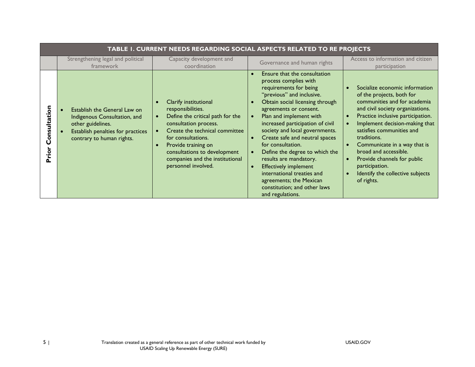| TABLE I. CURRENT NEEDS REGARDING SOCIAL ASPECTS RELATED TO RE PROJECTS |                                                                                                                                                     |                                                                                                                                                                                                                                                                                  |                                                                                                                                                                                                                                                                                                                                                                                                                                                                                                                                            |                                                                                                                                                                                                                                                                                                                                                                                                                |  |
|------------------------------------------------------------------------|-----------------------------------------------------------------------------------------------------------------------------------------------------|----------------------------------------------------------------------------------------------------------------------------------------------------------------------------------------------------------------------------------------------------------------------------------|--------------------------------------------------------------------------------------------------------------------------------------------------------------------------------------------------------------------------------------------------------------------------------------------------------------------------------------------------------------------------------------------------------------------------------------------------------------------------------------------------------------------------------------------|----------------------------------------------------------------------------------------------------------------------------------------------------------------------------------------------------------------------------------------------------------------------------------------------------------------------------------------------------------------------------------------------------------------|--|
|                                                                        | Strengthening legal and political<br>framework                                                                                                      | Capacity development and<br>coordination                                                                                                                                                                                                                                         | Governance and human rights                                                                                                                                                                                                                                                                                                                                                                                                                                                                                                                | Access to information and citizen<br>participation                                                                                                                                                                                                                                                                                                                                                             |  |
| nsultation<br>ō<br>Priol                                               | Establish the General Law on<br>Indigenous Consultation, and<br>other guidelines.<br>Establish penalties for practices<br>contrary to human rights. | Clarify institutional<br>responsibilities.<br>Define the critical path for the<br>consultation process.<br>Create the technical committee<br>for consultations.<br>Provide training on<br>consultations to development<br>companies and the institutional<br>personnel involved. | Ensure that the consultation<br>process complies with<br>requirements for being<br>"previous" and inclusive.<br>Obtain social licensing through<br>agreements or consent.<br>Plan and implement with<br>increased participation of civil<br>society and local governments.<br>Create safe and neutral spaces<br>for consultation.<br>Define the degree to which the<br>results are mandatory.<br><b>Effectively implement</b><br>international treaties and<br>agreements; the Mexican<br>constitution; and other laws<br>and regulations. | Socialize economic information<br>of the projects, both for<br>communities and for academia<br>and civil society organizations.<br>Practice inclusive participation.<br>Implement decision-making that<br>satisfies communities and<br>traditions.<br>Communicate in a way that is<br>broad and accessible.<br>Provide channels for public<br>participation.<br>Identify the collective subjects<br>of rights. |  |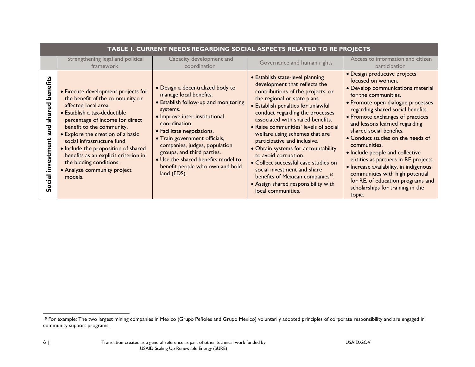| TABLE 1. CURRENT NEEDS REGARDING SOCIAL ASPECTS RELATED TO RE PROJECTS |                                                                                                                                                                                                                                                                                                                                                                                                                       |                                                                                                                                                                                                                                                                                                                                                                                        |                                                                                                                                                                                                                                                                                                                                                                                                                                                                                                                                                                                                                    |                                                                                                                                                                                                                                                                                                                                                                                                                                                                                                                                                                                          |  |
|------------------------------------------------------------------------|-----------------------------------------------------------------------------------------------------------------------------------------------------------------------------------------------------------------------------------------------------------------------------------------------------------------------------------------------------------------------------------------------------------------------|----------------------------------------------------------------------------------------------------------------------------------------------------------------------------------------------------------------------------------------------------------------------------------------------------------------------------------------------------------------------------------------|--------------------------------------------------------------------------------------------------------------------------------------------------------------------------------------------------------------------------------------------------------------------------------------------------------------------------------------------------------------------------------------------------------------------------------------------------------------------------------------------------------------------------------------------------------------------------------------------------------------------|------------------------------------------------------------------------------------------------------------------------------------------------------------------------------------------------------------------------------------------------------------------------------------------------------------------------------------------------------------------------------------------------------------------------------------------------------------------------------------------------------------------------------------------------------------------------------------------|--|
|                                                                        | Strengthening legal and political<br>framework                                                                                                                                                                                                                                                                                                                                                                        | Capacity development and<br>coordination                                                                                                                                                                                                                                                                                                                                               | Governance and human rights                                                                                                                                                                                                                                                                                                                                                                                                                                                                                                                                                                                        | Access to information and citizen<br>participation                                                                                                                                                                                                                                                                                                                                                                                                                                                                                                                                       |  |
| shar<br>and<br>ē<br>stme<br><u>ត្ត</u>                                 | • Execute development projects for<br>the benefit of the community or<br>affected local area.<br>• Establish a tax-deductible<br>percentage of income for direct<br>benefit to the community.<br>• Explore the creation of a basic<br>social infrastructure fund.<br>• Include the proposition of shared<br>benefits as an explicit criterion in<br>the bidding conditions.<br>• Analyze community project<br>models. | • Design a decentralized body to<br>manage local benefits.<br>• Establish follow-up and monitoring<br>systems.<br>• Improve inter-institutional<br>coordination.<br>• Facilitate negotiations.<br>• Train government officials,<br>companies, judges, population<br>groups, and third parties.<br>• Use the shared benefits model to<br>benefit people who own and hold<br>land (FDS). | • Establish state-level planning<br>development that reflects the<br>contributions of the projects, or<br>the regional or state plans.<br>• Establish penalties for unlawful<br>conduct regarding the processes<br>associated with shared benefits.<br>• Raise communities' levels of social<br>welfare using schemes that are<br>participative and inclusive.<br>· Obtain systems for accountability<br>to avoid corruption.<br>· Collect successful case studies on<br>social investment and share<br>benefits of Mexican companies <sup>10</sup> .<br>• Assign shared responsibility with<br>local communities. | · Design productive projects<br>focused on women.<br>• Develop communications material<br>for the communities.<br>• Promote open dialogue processes<br>regarding shared social benefits.<br>• Promote exchanges of practices<br>and lessons learned regarding<br>shared social benefits.<br>• Conduct studies on the needs of<br>communities.<br>· Include people and collective<br>entities as partners in RE projects.<br>• Increase availability, in indigenous<br>communities with high potential<br>for RE, of education programs and<br>scholarships for training in the<br>topic. |  |

 $\overline{\phantom{a}}$ <sup>10</sup> For example: The two largest mining companies in Mexico (Grupo Peñoles and Grupo Mexico) voluntarily adopted principles of corporate responsibility and are engaged in community support programs.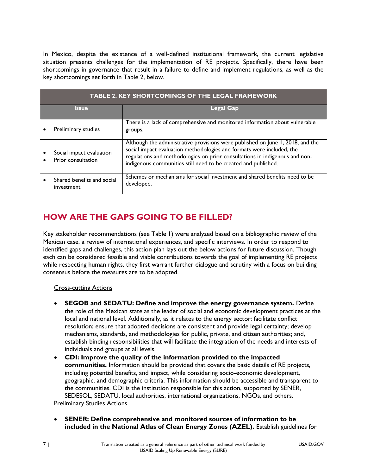In Mexico, despite the existence of a well-defined institutional framework, the current legislative situation presents challenges for the implementation of RE projects. Specifically, there have been shortcomings in governance that result in a failure to define and implement regulations, as well as the key shortcomings set forth in Table 2, below.

| <b>TABLE 2. KEY SHORTCOMINGS OF THE LEGAL FRAMEWORK</b> |                                                |                                                                                                                                                                                                                                                                                                          |  |
|---------------------------------------------------------|------------------------------------------------|----------------------------------------------------------------------------------------------------------------------------------------------------------------------------------------------------------------------------------------------------------------------------------------------------------|--|
|                                                         | Issue                                          | Legal Gap                                                                                                                                                                                                                                                                                                |  |
|                                                         | Preliminary studies                            | There is a lack of comprehensive and monitored information about vulnerable<br>groups.                                                                                                                                                                                                                   |  |
|                                                         | Social impact evaluation<br>Prior consultation | Although the administrative provisions were published on June 1, 2018, and the<br>social impact evaluation methodologies and formats were included, the<br>regulations and methodologies on prior consultations in indigenous and non-<br>indigenous communities still need to be created and published. |  |
|                                                         | Shared benefits and social<br>investment       | Schemes or mechanisms for social investment and shared benefits need to be<br>developed.                                                                                                                                                                                                                 |  |

# **HOW ARE THE GAPS GOING TO BE FILLED?**

Key stakeholder recommendations (see Table 1) were analyzed based on a bibliographic review of the Mexican case, a review of international experiences, and specific interviews. In order to respond to identified gaps and challenges, this action plan lays out the below actions for future discussion. Though each can be considered feasible and viable contributions towards the goal of implementing RE projects while respecting human rights, they first warrant further dialogue and scrutiny with a focus on building consensus before the measures are to be adopted.

#### Cross-cutting Actions

- **SEGOB and SEDATU: Define and improve the energy governance system.** Define the role of the Mexican state as the leader of social and economic development practices at the local and national level. Additionally, as it relates to the energy sector: facilitate conflict resolution; ensure that adopted decisions are consistent and provide legal certainty; develop mechanisms, standards, and methodologies for public, private, and citizen authorities; and, establish binding responsibilities that will facilitate the integration of the needs and interests of individuals and groups at all levels.
- **CDI: Improve the quality of the information provided to the impacted communities.** Information should be provided that covers the basic details of RE projects, including potential benefits, and impact, while considering socio-economic development, geographic, and demographic criteria. This information should be accessible and transparent to the communities. CDI is the institution responsible for this action, supported by SENER, SEDESOL, SEDATU, local authorities, international organizations, NGOs, and others.

**Preliminary Studies Actions** 

 **SENER: Define comprehensive and monitored sources of information to be included in the National Atlas of Clean Energy Zones (AZEL).** Establish guidelines for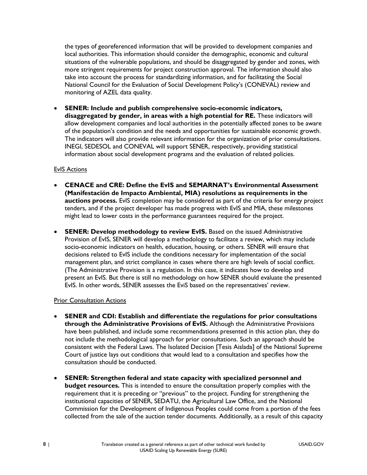the types of georeferenced information that will be provided to development companies and local authorities. This information should consider the demographic, economic and cultural situations of the vulnerable populations, and should be disaggregated by gender and zones, with more stringent requirements for project construction approval. The information should also take into account the process for standardizing information, and for facilitating the Social National Council for the Evaluation of Social Development Policy's (CONEVAL) review and monitoring of AZEL data quality.

 **SENER: Include and publish comprehensive socio-economic indicators, disaggregated by gender, in areas with a high potential for RE.** These indicators will allow development companies and local authorities in the potentially affected zones to be aware of the population's condition and the needs and opportunities for sustainable economic growth. The indicators will also provide relevant information for the organization of prior consultations. INEGI, SEDESOL and CONEVAL will support SENER, respectively, providing statistical information about social development programs and the evaluation of related policies.

#### EvIS Actions

- **CENACE and CRE: Define the EvIS and SEMARNAT's Environmental Assessment (Manifestación de Impacto Ambiental, MIA) resolutions as requirements in the auctions process.** EvIS completion may be considered as part of the criteria for energy project tenders, and if the project developer has made progress with EvIS and MIA, these milestones might lead to lower costs in the performance guarantees required for the project.
- **SENER: Develop methodology to review EvIS.** Based on the issued Administrative Provision of EvIS, SENER will develop a methodology to facilitate a review, which may include socio-economic indicators on health, education, housing, or others. SENER will ensure that decisions related to EvIS include the conditions necessary for implementation of the social management plan, and strict compliance in cases where there are high levels of social conflict. (The Administrative Provision is a regulation. In this case, it indicates how to develop and present an EvIS. But there is still no methodology on how SENER should evaluate the presented EvIS. In other words, SENER assesses the EviS based on the representatives' review.

#### Prior Consultation Actions

- **SENER and CDI: Establish and differentiate the regulations for prior consultations through the Administrative Provisions of EvIS.** Although the Administrative Provisions have been published, and include some recommendations presented in this action plan, they do not include the methodological approach for prior consultations. Such an approach should be consistent with the Federal Laws. The Isolated Decision [Tesis Aislada] of the National Supreme Court of justice lays out conditions that would lead to a consultation and specifies how the consultation should be conducted.
- **SENER: Strengthen federal and state capacity with specialized personnel and budget resources.** This is intended to ensure the consultation properly complies with the requirement that it is preceding or "previous" to the project. Funding for strengthening the institutional capacities of SENER, SEDATU, the Agricultural Law Office, and the National Commission for the Development of Indigenous Peoples could come from a portion of the fees collected from the sale of the auction tender documents. Additionally, as a result of this capacity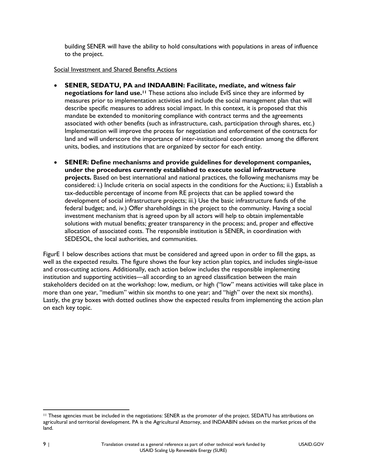building SENER will have the ability to hold consultations with populations in areas of influence to the project.

#### Social Investment and Shared Benefits Actions

- **SENER, SEDATU, PA and INDAABIN: Facilitate, mediate, and witness fair negotiations for land use.<sup>11</sup>** These actions also include EvIS since they are informed by measures prior to implementation activities and include the social management plan that will describe specific measures to address social impact. In this context, it is proposed that this mandate be extended to monitoring compliance with contract terms and the agreements associated with other benefits (such as infrastructure, cash, participation through shares, etc.) Implementation will improve the process for negotiation and enforcement of the contracts for land and will underscore the importance of inter-institutional coordination among the different units, bodies, and institutions that are organized by sector for each entity.
- **SENER: Define mechanisms and provide guidelines for development companies, under the procedures currently established to execute social infrastructure projects.** Based on best international and national practices, the following mechanisms may be considered: i.) Include criteria on social aspects in the conditions for the Auctions; ii.) Establish a tax-deductible percentage of income from RE projects that can be applied toward the development of social infrastructure projects; iii.) Use the basic infrastructure funds of the federal budget; and, iv.) Offer shareholdings in the project to the community. Having a social investment mechanism that is agreed upon by all actors will help to obtain implementable solutions with mutual benefits; greater transparency in the process; and, proper and effective allocation of associated costs. The responsible institution is SENER, in coordination with SEDESOL, the local authorities, and communities.

[FigurE 1](#page-10-0) below describes actions that must be considered and agreed upon in order to fill the gaps, as well as the expected results. The figure shows the four key action plan topics, and includes single-issue and cross-cutting actions. Additionally, each action below includes the responsible implementing institution and supporting activities—all according to an agreed classification between the main stakeholders decided on at the workshop: low, medium, or high ("low" means activities will take place in more than one year, "medium" within six months to one year; and "high" over the next six months). Lastly, the gray boxes with dotted outlines show the expected results from implementing the action plan on each key topic.

 $\overline{\phantom{a}}$ <sup>11</sup> These agencies must be included in the negotiations: SENER as the promoter of the project. SEDATU has attributions on agricultural and territorial development. PA is the Agricultural Attorney, and INDAABIN advises on the market prices of the land.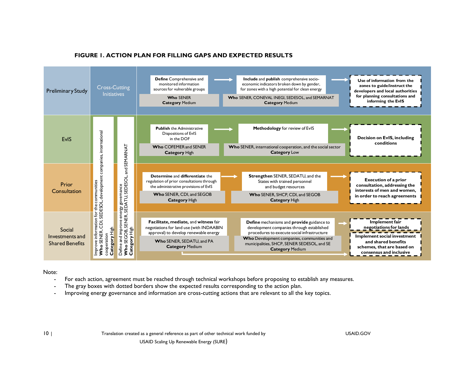<span id="page-10-0"></span>

#### **FIGURE 1. ACTION PLAN FOR FILLING GAPS AND EXPECTED RESULTS**

Note:

- For each action, agreement must be reached through technical workshops before proposing to establish any measures.
- The gray boxes with dotted borders show the expected results corresponding to the action plan.
- Improving energy governance and information are cross-cutting actions that are relevant to all the key topics.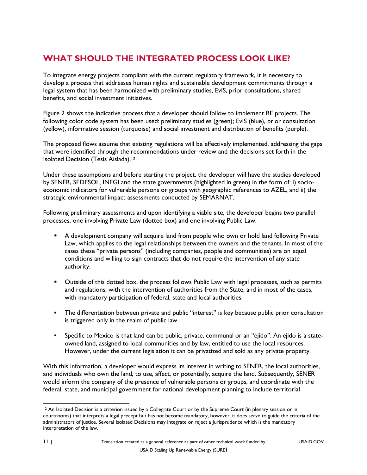# **WHAT SHOULD THE INTEGRATED PROCESS LOOK LIKE?**

To integrate energy projects compliant with the current regulatory framework, it is necessary to develop a process that addresses human rights and sustainable development commitments through a legal system that has been harmonized with preliminary studies, EvIS, prior consultations, shared benefits, and social investment initiatives.

Figure 2 shows the indicative process that a developer should follow to implement RE projects. The following color code system has been used: preliminary studies (green); EvIS (blue), prior consultation (yellow), informative session (turquoise) and social investment and distribution of benefits (purple).

The proposed flows assume that existing regulations will be effectively implemented, addressing the gaps that were identified through the recommendations under review and the decisions set forth in the Isolated Decision (Tesis Aislada).<sup>12</sup>

Under these assumptions and before starting the project, the developer will have the studies developed by SENER, SEDESOL, INEGI and the state governments (highlighted in green) in the form of: i) socioeconomic indicators for vulnerable persons or groups with geographic references to AZEL, and ii) the strategic environmental impact assessments conducted by SEMARNAT.

Following preliminary assessments and upon identifying a viable site, the developer begins two parallel processes, one involving Private Law (dotted box) and one involving Public Law:

- A development company will acquire land from people who own or hold land following Private Law, which applies to the legal relationships between the owners and the tenants. In most of the cases these "private persons" (including companies, people and communities) are on equal conditions and willing to sign contracts that do not require the intervention of any state authority.
- **Dutside of this dotted box, the process follows Public Law with legal processes, such as permits** and regulations, with the intervention of authorities from the State, and in most of the cases, with mandatory participation of federal, state and local authorities.
- The differentiation between private and public "interest" is key because public prior consultation is triggered only in the realm of public law.
- Specific to Mexico is that land can be public, private, communal or an "ejido". An ejido is a stateowned land, assigned to local communities and by law, entitled to use the local resources. However, under the current legislation it can be privatized and sold as any private property.

With this information, a developer would express its interest in writing to SENER, the local authorities, and individuals who own the land, to use, affect, or potentially, acquire the land. Subsequently, SENER would inform the company of the presence of vulnerable persons or groups, and coordinate with the federal, state, and municipal government for national development planning to include territorial

 $\overline{\phantom{a}}$ <sup>12</sup> An Isolated Decision is a criterion issued by a Collegiate Court or by the Supreme Court (in plenary session or in courtrooms) that interprets a legal precept but has not become mandatory, however, it does serve to guide the criteria of the administrators of justice. Several Isolated Decisions may integrate or reject a Jurisprudence which is the mandatory interpretation of the law.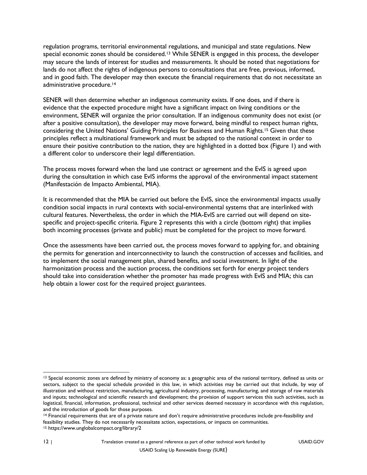regulation programs, territorial environmental regulations, and municipal and state regulations. New special economic zones should be considered.<sup>13</sup> While SENER is engaged in this process, the developer may secure the lands of interest for studies and measurements. It should be noted that negotiations for lands do not affect the rights of indigenous persons to consultations that are free, previous, informed, and in good faith. The developer may then execute the financial requirements that do not necessitate an administrative procedure.<sup>14</sup>

SENER will then determine whether an indigenous community exists. If one does, and if there is evidence that the expected procedure might have a significant impact on living conditions or the environment, SENER will organize the prior consultation. If an indigenous community does not exist (or after a positive consultation), the developer may move forward, being mindful to respect human rights, considering the United Nations' Guiding Principles for Business and Human Rights.<sup>15</sup> Given that these principles reflect a multinational framework and must be adapted to the national context in order to ensure their positive contribution to the nation, they are highlighted in a dotted box (Figure 1) and with a different color to underscore their legal differentiation.

The process moves forward when the land use contract or agreement and the EvIS is agreed upon during the consultation in which case EvIS informs the approval of the environmental impact statement (Manifestación de Impacto Ambiental, MIA).

It is recommended that the MIA be carried out before the EvIS, since the environmental impacts usually condition social impacts in rural contexts with social-environmental systems that are interlinked with cultural features. Nevertheless, the order in which the MIA-EvIS are carried out will depend on sitespecific and project-specific criteria. Figure 2 represents this with a circle (bottom right) that implies both incoming processes (private and public) must be completed for the project to move forward.

Once the assessments have been carried out, the process moves forward to applying for, and obtaining the permits for generation and interconnectivity to launch the construction of accesses and facilities, and to implement the social management plan, shared benefits, and social investment. In light of the harmonization process and the auction process, the conditions set forth for energy project tenders should take into consideration whether the promoter has made progress with EvIS and MIA; this can help obtain a lower cost for the required project guarantees.

 $\overline{\phantom{a}}$ 

<sup>&</sup>lt;sup>13</sup> Special economic zones are defined by ministry of economy as: a geographic area of the national territory, defined as units or sectors, subject to the special schedule provided in this law, in which activities may be carried out that include, by way of illustration and without restriction, manufacturing, agricultural industry, processing, manufacturing, and storage of raw materials and inputs; technological and scientific research and development; the provision of support services this such activities, such as logistical, financial, information, professional, technical and other services deemed necessary in accordance with this regulation, and the introduction of goods for those purposes.

<sup>14</sup> Financial requirements that are of a private nature and don't require administrative procedures include pre-feasibility and feasibility studies. They do not necessarily necessitate action, expectations, or impacts on communities. <sup>15</sup> https://www.unglobalcompact.org/library/2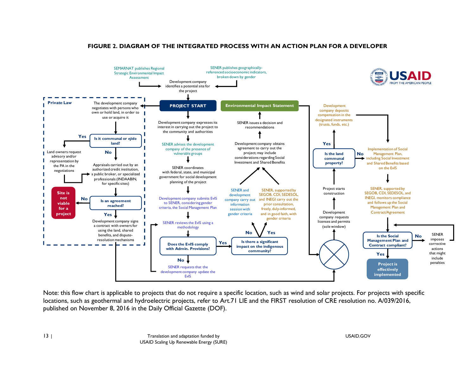#### **FIGURE 2. DIAGRAM OF THE INTEGRATED PROCESS WITH AN ACTION PLAN FOR A DEVELOPER**



Note: this flow chart is applicable to projects that do not require a specific location, such as wind and solar projects. For projects with specific locations, such as geothermal and hydroelectric projects, refer to Art.71 LIE and the FIRST resolution of CRE resolution no. A/039/2016, published on November 8, 2016 in the Daily Official Gazette (DOF).